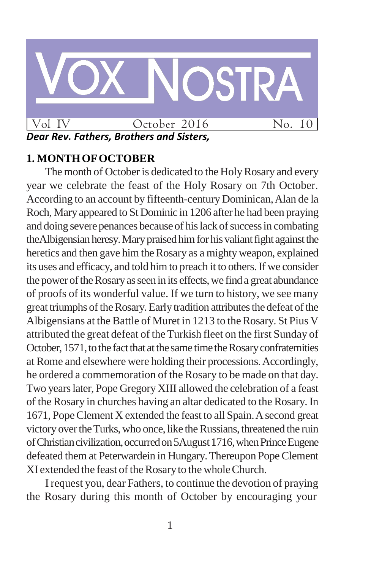

## **1. MONTHOFOCTOBER**

The month of October is dedicated to the Holy Rosary and every year we celebrate the feast of the Holy Rosary on 7th October. According to an account by fifteenth-century Dominican,Alan de la Roch, Mary appeared to St Dominic in 1206 after he had been praying and doing severe penances because of his lack of success in combating theAlbigensian heresy. Mary praised him for his valiant fight against the heretics and then gave him the Rosary as a mighty weapon, explained its uses and efficacy, and told himto preach it to others.If we consider the power of the Rosary as seen in its effects, we find a great abundance of proofs of its wonderful value. If we turn to history, we see many great triumphs of the Rosary. Early tradition attributes the defeat of the Albigensians at the Battle of Muret in 1213 to the Rosary. St Pius V attributed the great defeat of the Turkish fleet on the first Sunday of October, 1571, to the fact that at the same time the Rosary confraternities at Rome and elsewhere were holding their processions.Accordingly, he ordered a commemoration of the Rosary to be made on that day. Two yearslater, Pope Gregory XIII allowed the celebration of a feast of the Rosary in churches having an altar dedicated to the Rosary. In 1671, Pope Clement X extended the feast to all Spain. A second great victory over the Turks, who once, like the Russians, threatened the ruin of Christian civilization, occurred on 5 August 1716, when Prince Eugene defeated them at Peterwardein in Hungary. Thereupon Pope Clement XI extended the feast of the Rosary to the whole Church.

Irequest you, dear Fathers, to continue the devotion of praying the Rosary during this month of October by encouraging your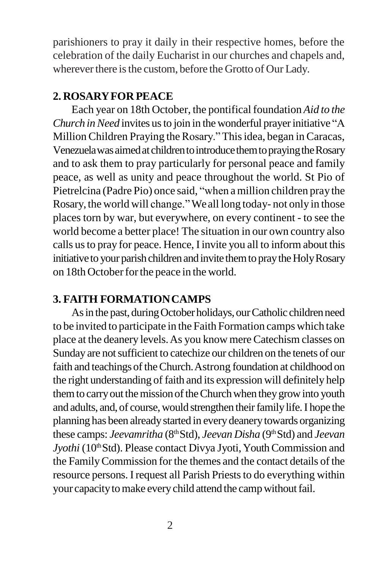parishioners to pray it daily in their respective homes, before the celebration of the daily Eucharist in our churches and chapels and, wherever there is the custom, before the Grotto of Our Lady.

## **2. ROSARYFOR PEACE**

Each year on 18th October, the pontifical foundation *Aid to the Church in Need* invites us to join in the wonderful prayer initiative "A MillionChildren Praying the Rosary."Thisidea, began in Caracas, Venezuela was aimed at children to introduce them to praying the Rosary and to ask them to pray particularly for personal peace and family peace, as well as unity and peace throughout the world. St Pio of Pietrelcina (Padre Pio) once said, "when amillion children pray the Rosary, the world will change."Weall long today- not only in those places torn by war, but everywhere, on every continent - to see the world become a better place! The situation in our own country also calls usto pray for peace. Hence, Iinvite you all to inform about this initiative to your parish children and invite them to pray the Holy Rosary on 18th October for the peace in the world.

# **3. FAITH FORMATIONCAMPS**

As in the past, during October holidays, our Catholic children need to be invited to participate in the Faith Formation camps which take place at the deanery levels.As you know mereCatechism classes on Sunday are not sufficient to catechize our children on the tenets of our faith and teachings of the Church. Astrong foundation at childhood on the right understanding of faith and its expression will definitely help them to carry out the mission of the Church when they grow into youth and adults, and, of course, would strengthen their family life. I hope the planning has been alreadystarted in every deanerytowards organizing these camps: *Jeevamritha* (8<sup>th</sup> Std), *Jeevan Disha* (9<sup>th</sup> Std) and *Jeevan Jyothi* (10<sup>th</sup> Std). Please contact Divya Jyoti, Youth Commission and the FamilyCommission for the themes and the contact details of the resource persons. I request all Parish Priests to do everything within your capacity to make every child attend the camp without fail.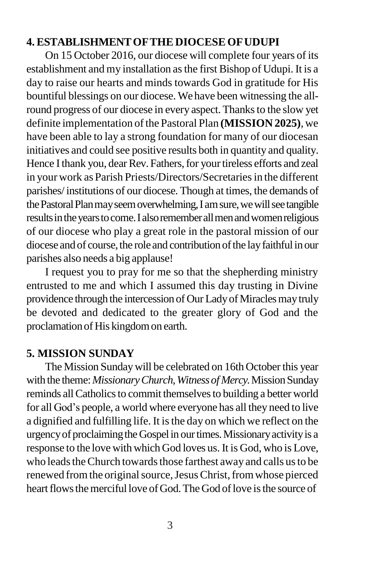#### **4. ESTABLISHMENTOFTHE DIOCESEOFUDUPI**

On 15 October 2016, our diocese will complete four years of its establishment and my installation asthe first Bishop of Udupi. It is a day to raise our hearts and minds towards God in gratitude for His bountiful blessings on our diocese. We have been witnessing the allround progress of our diocese in every aspect. Thanks to the slow yet definite implementation of the Pastoral Plan **(MISSION 2025)**, we have been able to lay a strong foundation for many of our diocesan initiatives and could see positive results both in quantity and quality. Hence I thank you, dear Rev. Fathers, for your tireless efforts and zeal in your work as Parish Priests/Directors/Secretaries in the different parishes/ institutions of our diocese. Though at times, the demands of the Pastoral Plan may seem overwhelming, I am sure, we will see tangible results in the years to come. I also remember all men and women religious of our diocese who play a great role in the pastoral mission of our diocese and of course, the role and contribution of the lay faithful in our parishes also needs a big applause!

I request you to pray for me so that the shepherding ministry entrusted to me and which I assumed this day trusting in Divine providence through the intercession of Our Lady of Miracles may truly be devoted and dedicated to the greater glory of God and the proclamation of His kingdom on earth.

### **5. MISSION SUNDAY**

The Mission Sundaywill be celebrated on 16th October this year with the theme: *Missionary Church, Witness of Mercy*. Mission Sunday reminds all Catholics to commit themselves to building a better world for all God"s people, a world where everyone has all they need to live a dignified and fulfilling life. It isthe day on which we reflect on the urgency of proclaiming the Gospel in our times. Missionary activity is a response to the love with which God loves us. It is God, who is Love, who leads the Church towards those farthest away and calls us to be renewed from the original source, Jesus Christ, from whose pierced heart flows the merciful love of God. The God of love is the source of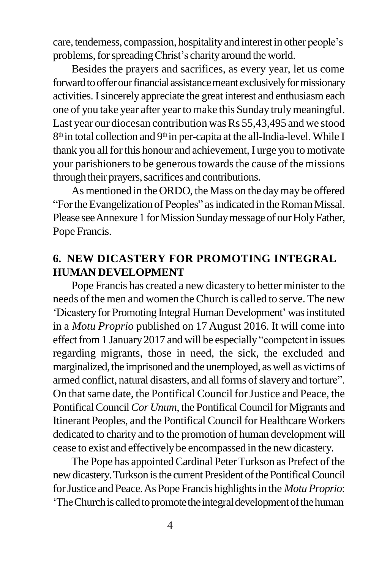care, tenderness, compassion, hospitality and interest in other people's problems, for spreading Christ's charity around the world.

Besides the prayers and sacrifices, as every year, let us come forward to offer our financial assistance meant exclusively for missionary activities. Isincerely appreciate the great interest and enthusiasm each one of you take year after yearto make this Sunday trulymeaningful. Last year our diocesan contribution was Rs 55,43,495 and we stood 8<sup>th</sup> in total collection and 9<sup>th</sup> in per-capita at the all-India-level. While I thank you all for this honour and achievement, I urge you to motivate your parishioners to be generous towards the cause of the missions through their prayers, sacrifices and contributions.

As mentioned in the ORDO, the Mass on the day may be offered "FortheEvangelizationof Peoples" asindicated in theRomanMissal. Please see Annexure 1 for Mission Sunday message of our Holy Father, Pope Francis.

## **6. NEW DICASTERY FOR PROMOTING INTEGRAL HUMAN DEVELOPMENT**

Pope Francis has created a new dicastery to better minister to the needs of the men and women the Church is called to serve. The new "Dicastery for Promoting Integral Human Development" wasinstituted in a *Motu Proprio* published on 17 August 2016. It will come into effect from 1 January 2017 and will be especially "competent in issues regarding migrants, those in need, the sick, the excluded and marginalized, the imprisoned and the unemployed, as well as victims of armed conflict, natural disasters, and all forms of slavery and torture". On that same date, the Pontifical Council for Justice and Peace, the Pontifical Council *Cor Unum*, the Pontifical Council for Migrants and Itinerant Peoples, and the Pontifical Council for Healthcare Workers dedicated to charity and to the promotion of human development will cease to exist and effectivelybe encompassed in the new dicastery.

The Pope has appointed Cardinal Peter Turkson as Prefect of the new dicastery. Turkson is the current President of the Pontifical Council for Justice and Peace. As Pope Francis highlights in the *Motu Proprio*: 'The Church is called to promote the integral development of the human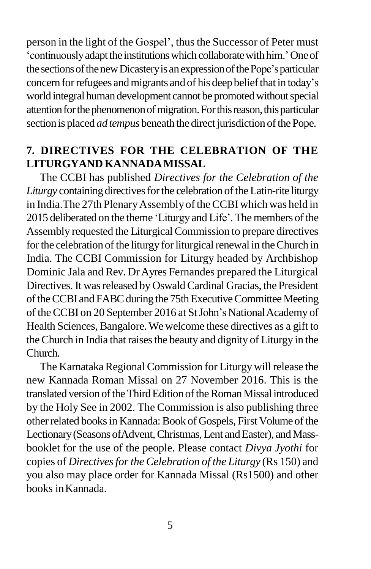person in the light of the Gospel', thus the Successor of Peter must 'continuously adapt the institutions which collaborate with him.' One of the sections of the new Dicastery is an expression of the Pope's particular concern for refugees and migrants and of his deep belief that in today's world integral human development cannot be promoted without special attention for the phenomenon of migration. For this reason, this particular section is placed *ad tempus* beneath the direct jurisdiction of the Pope.

## **7. DIRECTIVES FOR THE CELEBRATION OF THE LITURGYAND KANNADAMISSAL**

The CCBI has published *Directives for the Celebration of the*  Liturgy containing directives for the celebration of the Latin-rite liturgy in India. The 27th Plenary Assembly of the CCBI which was held in 2015 deliberated on the theme 'Liturgy and Life'. The members of the Assembly requested the Liturgical Commission to prepare directives for the celebration of the liturgy for liturgical renewal in the Church in India. The CCBI Commission for Liturgy headed by Archbishop Dominic Jala and Rev. DrAyres Fernandes prepared the Liturgical Directives. It was released by Oswald Cardinal Gracias, the President of the CCBI and FABC during the 75th Executive Committee Meeting of the CCBI on 20 September 2016 at St John's National Academy of Health Sciences, Bangalore.Wewelcome these directives as a gift to the Church in India that raises the beauty and dignity of Liturgy in the Church.

The Karnataka Regional Commission for Liturgy will release the new Kannada Roman Missal on 27 November 2016. This is the translated version of the Third Edition of the Roman Missal introduced by the Holy See in 2002. The Commission is also publishing three other related books in Kannada: Book of Gospels, First Volume of the Lectionary (Seasons of Advent, Christmas, Lent and Easter), and Massbooklet for the use of the people. Please contact *Divya Jyothi* for copies of *Directivesforthe Celebration of the Liturgy* (Rs 150) and you also may place order for Kannada Missal (Rs1500) and other books inKannada.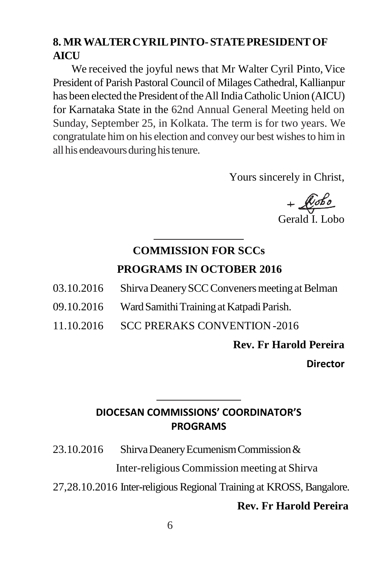## **8. MRWALTERCYRILPINTO-STATEPRESIDENTOF AICU**

We received the joyful news that Mr Walter Cyril Pinto, Vice President of Parish Pastoral Council of Milages Cathedral, Kallianpur has been elected the President of the All India Catholic Union (AICU) for Karnataka State in the 62nd Annual General Meeting held on Sunday, September 25, in Kolkata. The term is for two years. We congratulate him on his election and convey our best wishesto him in all his endeavours during his tenure.

Yours sincerely in Christ,

+ *Lobo*<br>Gerald I. Lobo

# **COMMISSION FOR SCCs PROGRAMS IN OCTOBER 2016**

- 03.10.2016 Shirva Deanery SCC Conveners meeting at Belman
- 09.10.2016 WardSamithiTrainingatKatpadiParish.
- 11.10.2016 SCC PRERAKS CONVENTION-2016

**Rev. Fr Harold Pereira**

**Director**

# **DIOCESAN COMMISSIONS' COORDINATOR'S PROGRAMS**

- 23.10.2016 ShirvaDeaneryEcumenismCommission& Inter-religious Commission meeting at Shirva
- 27,28.10.2016 Inter-religious Regional Training at KROSS, Bangalore.

#### **Rev. Fr Harold Pereira**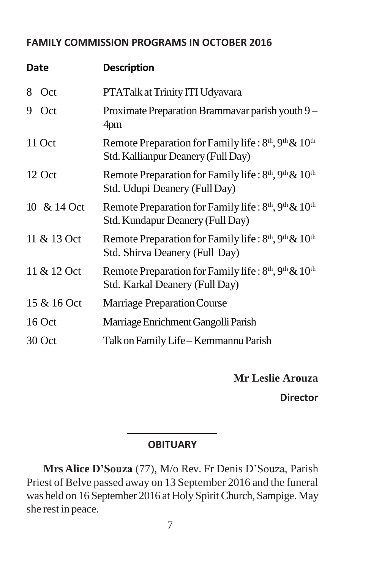## **FAMILY COMMISSION PROGRAMS IN OCTOBER 2016**

| Date |             | <b>Description</b>                                                                                                           |
|------|-------------|------------------------------------------------------------------------------------------------------------------------------|
| 8    | Oct         | PTATalk at Trinity ITI Udyavara                                                                                              |
| 9.   | Oct         | Proximate Preparation Brammavar parish youth 9 -<br>4pm                                                                      |
|      | 11 Oct      | Remote Preparation for Family life: $8th$ , $9th$ & $10th$<br>Std. Kallianpur Deanery (Full Day)                             |
|      | 12 Oct      | Remote Preparation for Family life: 8 <sup>th</sup> , 9 <sup>th</sup> & 10 <sup>th</sup><br>Std. Udupi Deanery (Full Day)    |
|      | 10 & 14 Oct | Remote Preparation for Family life: 8 <sup>th</sup> , 9 <sup>th</sup> & 10 <sup>th</sup><br>Std. Kundapur Deanery (Full Day) |
|      | 11 & 13 Oct | Remote Preparation for Family life: 8 <sup>th</sup> , 9 <sup>th</sup> & 10 <sup>th</sup><br>Std. Shirva Deanery (Full Day)   |
|      | 11 & 12 Oct | Remote Preparation for Family life: 8 <sup>th</sup> , 9 <sup>th</sup> & 10 <sup>th</sup><br>Std. Karkal Deanery (Full Day)   |
|      | 15 & 16 Oct | Marriage Preparation Course                                                                                                  |
|      | $16$ Oct    | Marriage Enrichment Gangolli Parish                                                                                          |
|      | 30 Oct      | Talk on Family Life - Kemmannu Parish                                                                                        |

**Mr Leslie Arouza**

**Director**

### **OBITUARY**

**Mrs Alice D'Souza** (77), M/o Rev. Fr Denis D"Souza, Parish Priest of Belve passed away on 13 September 2016 and the funeral was held on 16 September 2016 at HolySpiritChurch, Sampige. May she rest in peace.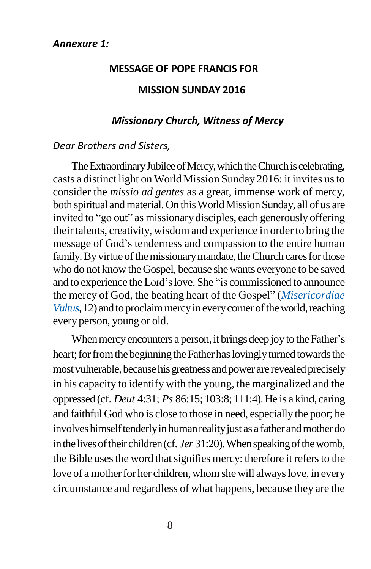#### **MESSAGE OF POPE FRANCIS FOR**

#### **MISSION SUNDAY 2016**

#### *Missionary Church, Witness of Mercy*

#### *Dear Brothers and Sisters,*

The Extraordinary Jubilee of Mercy, which the Church is celebrating, casts a distinct light on World Mission Sunday 2016: it invites usto consider the *missio ad gentes* as a great, immense work of mercy, both spiritual and material. On this World Mission Sunday, all of us are invited to "go out" as missionary disciples, each generously offering their talents, creativity, wisdom and experience in order to bring the message of God"s tenderness and compassion to the entire human family. By virtue of the missionary mandate, the Church cares for those who do not know the Gospel, because she wants everyone to be saved and to experience the Lord"slove. She "is commissioned to announce the mercy of God, the beating heart of the Gospel" (*Misericordiae Vultus*, 12) and to proclaim mercy in every corner of the world, reaching every person, young or old.

When mercy encounters a person, it brings deep joy to the Father's heart; for from the beginning the Father has lovingly turned towards the most vulnerable, because his greatness and power are revealed precisely in his capacity to identify with the young, the marginalized and the oppressed (cf. *Deut* 4:31; *Ps* 86:15; 103:8; 111:4).He is a kind, caring and faithful God who is close to those in need, especially the poor; he involves himself tenderly in human reality just as a father and mother do in the lives of their children (cf. *Jer* 31:20). When speaking of the womb, the Bible uses the word that signifies mercy: therefore it refers to the love of a mother for her children, whom she will always love, in every circumstance and regardless of what happens, because they are the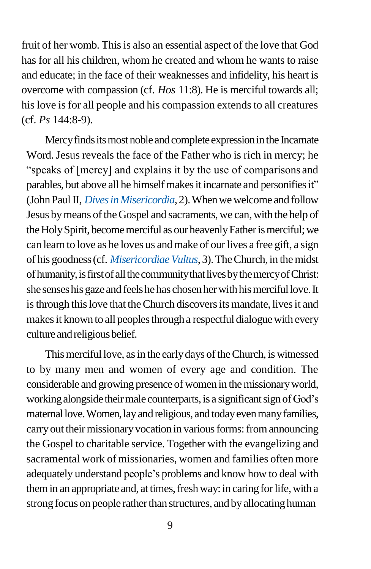fruit of her womb. This is also an essential aspect of the love that God has for all his children, whom he created and whom he wants to raise and educate; in the face of their weaknesses and infidelity, his heart is overcome with compassion (cf. *Hos* 11:8). He is merciful towards all; his love is for all people and his compassion extends to all creatures (cf. *Ps* 144:8-9).

Mercy finds its most noble and complete expression in the Incarnate Word.Jesus reveals the face of the Father who is rich in mercy; he "speaks of [mercy] and explains it by the use of comparisons and parables, but above all he himself makes it incarnate and personifies it" (John Paul II, *Dives in Misericordia*, 2). When we welcome and follow Jesus by means of the Gospel and sacraments, we can, with the help of the Holy Spirit, become merciful as our heavenly Father is merciful; we can learn to love as he loves us and make of our lives a free gift, a sign of his goodness (cf. *Misericordiae Vultus*, 3). The Church, in the midst of humanity, is first of all the community that lives by the mercy of Christ: she senseshis gazeand feelshehas chosenherwithhismercifullove.It is through this love that the Church discovers its mandate, lives it and makes it known to all peoples through a respectful dialogue with every culture and religious belief.

This merciful love, as in the early days of the Church, is witnessed to by many men and women of every age and condition. The considerable and growing presence of women in the missionary world, working alongside their male counterparts, is a significant sign of God's maternal love. Women, lay and religious, and today even many families, carry out their missionary vocation in various forms: from announcing the Gospel to charitable service. Together with the evangelizing and sacramental work of missionaries, women and families often more adequately understand people"s problems and know how to deal with them in an appropriate and, at times, fresh way: in caring for life, with a strong focus on people rather than structures, and by allocating human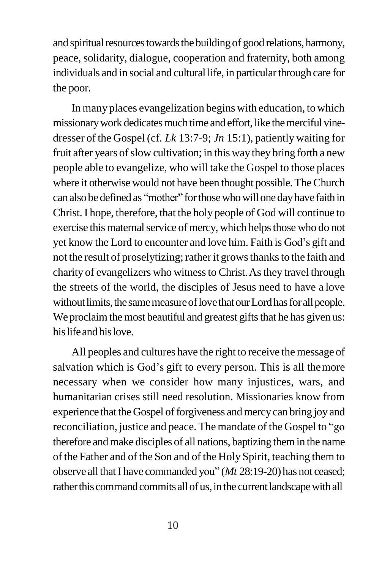and spiritual resources towards the building of good relations, harmony, peace, solidarity, dialogue, cooperation and fraternity, both among individuals and in social and cultural life, in particular through care for the poor.

In many places evangelization begins with education, to which missionary work dedicates much time and effort, like the merciful vinedresser of the Gospel (cf. *Lk* 13:7-9; *Jn* 15:1), patiently waiting for fruit after years of slow cultivation; in this way they bring forth a new people able to evangelize, who will take the Gospel to those places where it otherwise would not have been thought possible.TheChurch can also be defined as "mother" for those who will one day have faith in Christ.I hope, therefore, that the holy people of God will continue to exercise this maternal service of mercy, which helps those who do not yet know the Lord to encounter and love him. Faith is God"s gift and not the result of proselytizing; rather it grows thanks to the faith and charity of evangelizers who witness to Christ. As they travel through the streets of the world, the disciples of Jesus need to have a love without limits, the same measure of love that our Lord has for all people. We proclaim the most beautiful and greatest gifts that he has given us: hislifeandhislove.

All peoples and cultures have the right to receive the message of salvation which is God's gift to every person. This is all the more necessary when we consider how many injustices, wars, and humanitarian crises still need resolution. Missionaries know from experience that the Gospel of forgiveness and mercy can bring joy and reconciliation, justice and peace. The mandate of the Gospel to "go therefore andmake disciples of all nations, baptizing themin the name of the Father and of the Son and of the Holy Spirit, teaching them to observe all that I have commanded you" (*Mt* 28:19-20) has not ceased; rather this command commits all of us, in the current landscape with all